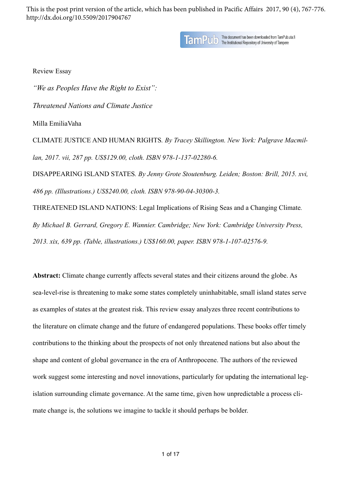This is the post print version of the article, which has been published in Pacific Affairs 2017, 90 (4), 767-776. http://dx.doi.org/10.5509/2017904767

TamPUID This document has been downloaded from TamPub.uta.fi

Review Essay

*"We as Peoples Have the Right to Exist": Threatened Nations and Climate Justice*  Milla EmiliaVaha CLIMATE JUSTICE AND HUMAN RIGHTS*. By Tracey Skillington. New York: Palgrave Macmillan, 2017. vii, 287 pp. US\$129.00, cloth. ISBN 978-1-137-02280-6.*  DISAPPEARING ISLAND STATES*. By Jenny Grote Stoutenburg. Leiden; Boston: Brill, 2015. xvi, 486 pp. (Illustrations.) US\$240.00, cloth. ISBN 978-90-04-30300-3.*  THREATENED ISLAND NATIONS: Legal Implications of Rising Seas and a Changing Climate*. By Michael B. Gerrard, Gregory E. Wannier. Cambridge; New York: Cambridge University Press,* 

*2013. xix, 639 pp. (Table, illustrations.) US\$160.00, paper. ISBN 978-1-107-02576-9.* 

**Abstract:** Climate change currently affects several states and their citizens around the globe. As sea-level-rise is threatening to make some states completely uninhabitable, small island states serve as examples of states at the greatest risk. This review essay analyzes three recent contributions to the literature on climate change and the future of endangered populations. These books offer timely contributions to the thinking about the prospects of not only threatened nations but also about the shape and content of global governance in the era of Anthropocene. The authors of the reviewed work suggest some interesting and novel innovations, particularly for updating the international legislation surrounding climate governance. At the same time, given how unpredictable a process climate change is, the solutions we imagine to tackle it should perhaps be bolder.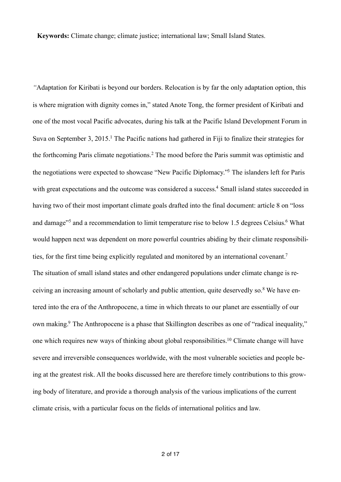**Keywords:** Climate change; climate justice; international law; Small Island States.

<span id="page-1-9"></span><span id="page-1-8"></span><span id="page-1-7"></span><span id="page-1-6"></span><span id="page-1-5"></span><span id="page-1-4"></span><span id="page-1-3"></span><span id="page-1-2"></span><span id="page-1-1"></span><span id="page-1-0"></span>*"*Adaptation for Kiribati is beyond our borders. Relocation is by far the only adaptation option, this is where migration with dignity comes in," stated Anote Tong, the former president of Kiribati and one of the most vocal Pacific advocates, during his talk at the Pacific Island Development Forum in Suva on September 3, 2015[.](#page-10-0)<sup>[1](#page-10-0)</sup> The Pacific nations had gathered in Fiji to finalize their strategies for theforthcoming Paris climate negotiations.<sup>[2](#page-10-1)</sup> The mood before the Paris summit was optimistic and the negotiations were expected to showcase ["](#page-10-2)New Pacific Diplomacy."<sup>[3](#page-10-2)</sup> The islanders left for Paris with great expectations and the outcome was considered a success[.](#page-10-3)<sup>[4](#page-10-3)</sup> Small island states succeeded in having two of their most important climate goals drafted into the final document: article 8 on "loss anddamage"<sup>5</sup> and a recommendation to limit temperature rise to below 1[.](#page-11-0)[5](#page-10-4) degrees Celsius.<sup>6</sup> What would happen next was dependent on more powerful countries abiding by their climate responsibilities, for the first time being explicitly regulated and monitored by an international covenant.<sup>7</sup> The situation of small island states and other endangered populations under climate change is receivingan increasing amount of scholarly and public attention, quite deservedly so.<sup>8</sup> We have entered into the era of the Anthropocene, a time in which threats to our planet are essentially of our own making[.](#page-11-3)<sup>[9](#page-11-3)</sup> The Anthropocene is a phase that Skillington describes as one of "radical inequality," one which requires new ways of thinking about global responsibilities[.](#page-11-4)<sup>[10](#page-11-4)</sup> Climate change will have severe and irreversible consequences worldwide, with the most vulnerable societies and people being at the greatest risk. All the books discussed here are therefore timely contributions to this growing body of literature, and provide a thorough analysis of the various implications of the current climate crisis, with a particular focus on the fields of international politics and law.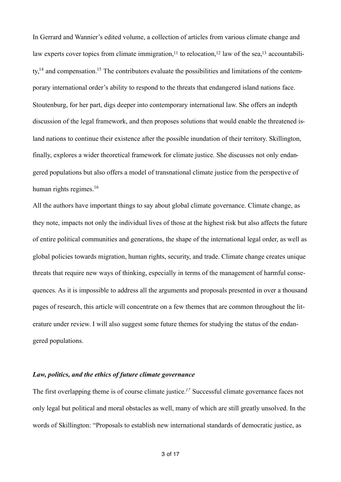<span id="page-2-4"></span><span id="page-2-3"></span><span id="page-2-2"></span><span id="page-2-1"></span><span id="page-2-0"></span>In Gerrard and Wannier's edited volume, a collection of articles from various climate change and law experts cover topics from climate immigration[,](#page-12-0)<sup>11</sup> to relocation,<sup>12</sup> law of the sea,<sup>13</sup> accountability[,14](#page-12-1) and compensation[.15](#page-12-2) The contributors evaluate the possibilities and limitations of the contemporary international order's ability to respond to the threats that endangered island nations face. Stoutenburg, for her part, digs deeper into contemporary international law. She offers an indepth discussion of the legal framework, and then proposes solutions that would enable the threatened island nations to continue their existence after the possible inundation of their territory. Skillington, finally, explores a wider theoretical framework for climate justice. She discusses not only endangered populations but also offers a model of transnational climate justice from the perspective of human rights regimes.<sup>[16](#page-12-3)</sup>

<span id="page-2-5"></span>All the authors have important things to say about global climate governance. Climate change, as they note, impacts not only the individual lives of those at the highest risk but also affects the future of entire political communities and generations, the shape of the international legal order, as well as global policies towards migration, human rights, security, and trade. Climate change creates unique threats that require new ways of thinking, especially in terms of the management of harmful consequences. As it is impossible to address all the arguments and proposals presented in over a thousand pages of research, this article will concentrate on a few themes that are common throughout the literature under review. I will also suggest some future themes for studying the status of the endangered populations.

## *Law, politics, and the ethics of future climate governance*

<span id="page-2-6"></span>The first overlapping theme is of course climate justice[.](#page-12-4)<sup>17</sup> Successful climate governance faces not only legal but political and moral obstacles as well, many of which are still greatly unsolved. In the words of Skillington: "Proposals to establish new international standards of democratic justice, as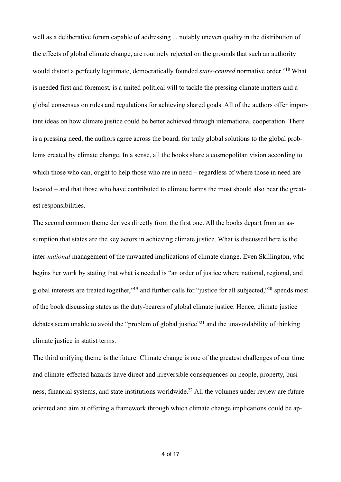<span id="page-3-0"></span>well as a deliberative forum capable of addressing ... notably uneven quality in the distribution of the effects of global climate change, are routinely rejected on the grounds that such an authority would distort a perfectly legitimate, democratically founded *state-centred* normative order.["](#page-12-5)<sup>[18](#page-12-5)</sup> What is needed first and foremost, is a united political will to tackle the pressing climate matters and a global consensus on rules and regulations for achieving shared goals. All of the authors offer important ideas on how climate justice could be better achieved through international cooperation. There is a pressing need, the authors agree across the board, for truly global solutions to the global problems created by climate change. In a sense, all the books share a cosmopolitan vision according to which those who can, ought to help those who are in need – regardless of where those in need are located – and that those who have contributed to climate harms the most should also bear the greatest responsibilities.

The second common theme derives directly from the first one. All the books depart from an assumption that states are the key actors in achieving climate justice. What is discussed here is the inter-*national* management of the unwanted implications of climate change. Even Skillington, who begins her work by stating that what is needed is "an order of justice where national, regional, and global interests are treated together,["](#page-12-7)<sup>[19](#page-12-6)</sup> and further calls for "justice for all subjected,"<sup>20</sup> spends most of the book discussing states as the duty-bearers of global climate justice. Hence, climate justice debates seem unable to avoid the ["](#page-12-8)problem of global justice"<sup>[21](#page-12-8)</sup> and the unavoidability of thinking climate justice in statist terms.

<span id="page-3-4"></span><span id="page-3-3"></span><span id="page-3-2"></span><span id="page-3-1"></span>The third unifying theme is the future. Climate change is one of the greatest challenges of our time and climate-effected hazards have direct and irreversible consequences on people, property, busi-ness, financial systems, and state institutions worldwide[.](#page-12-9)<sup>22</sup> All the volumes under review are futureoriented and aim at offering a framework through which climate change implications could be ap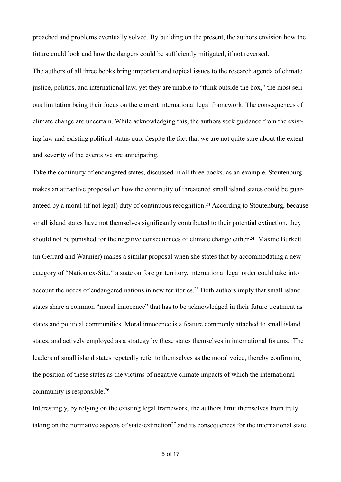proached and problems eventually solved. By building on the present, the authors envision how the future could look and how the dangers could be sufficiently mitigated, if not reversed.

The authors of all three books bring important and topical issues to the research agenda of climate justice, politics, and international law, yet they are unable to "think outside the box," the most serious limitation being their focus on the current international legal framework. The consequences of climate change are uncertain. While acknowledging this, the authors seek guidance from the existing law and existing political status quo, despite the fact that we are not quite sure about the extent and severity of the events we are anticipating.

<span id="page-4-1"></span><span id="page-4-0"></span>Take the continuity of endangered states, discussed in all three books, as an example. Stoutenburg makes an attractive proposal on how the continuity of threatened small island states could be guar-anteed by a moral (if not legal) duty of continuous recognition[.](#page-12-10)<sup>[23](#page-12-10)</sup> According to Stoutenburg, because small island states have not themselves significantly contributed to their potential extinction, they should not be punished for the negative consequences of climate change either[.](#page-13-0)<sup>[24](#page-13-0)</sup> Maxine Burkett (in Gerrard and Wannier) makes a similar proposal when she states that by accommodating a new category of "Nation ex-Situ," a state on foreign territory, international legal order could take into account the needs of endangered nations in new territories[.](#page-13-1)<sup>[25](#page-13-1)</sup> Both authors imply that small island states share a common "moral innocence" that has to be acknowledged in their future treatment as states and political communities. Moral innocence is a feature commonly attached to small island states, and actively employed as a strategy by these states themselves in international forums. The leaders of small island states repetedly refer to themselves as the moral voice, thereby confirming the position of these states as the victims of negative climate impacts of which the international community is responsible[.](#page-13-2) [26](#page-13-2)

<span id="page-4-4"></span><span id="page-4-3"></span><span id="page-4-2"></span>Interestingly, by relying on the existing legal framework, the authors limit themselves from truly takingon the normative aspects of state-extinction<sup>[27](#page-13-3)</sup> and its consequences for the international state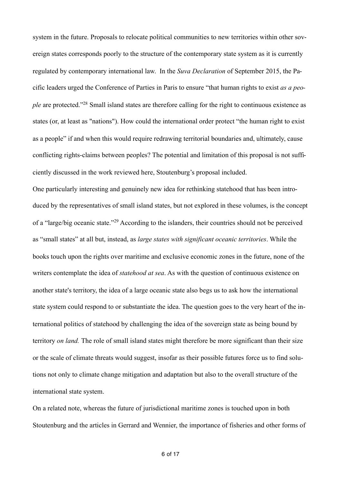<span id="page-5-0"></span>system in the future. Proposals to relocate political communities to new territories within other sovereign states corresponds poorly to the structure of the contemporary state system as it is currently regulated by contemporary international law. In the *Suva Declaration* of September 2015, the Pacific leaders urged the Conference of Parties in Paris to ensure "that human rights to exist *as a people* are protected.["](#page-13-4)<sup>[28](#page-13-4)</sup> Small island states are therefore calling for the right to continuous existence as states (or, at least as "nations"). How could the international order protect "the human right to exist as a people" if and when this would require redrawing territorial boundaries and, ultimately, cause conflicting rights-claims between peoples? The potential and limitation of this proposal is not sufficiently discussed in the work reviewed here, Stoutenburg's proposal included.

<span id="page-5-1"></span>One particularly interesting and genuinely new idea for rethinking statehood that has been introduced by the representatives of small island states, but not explored in these volumes, is the concept of a ["](#page-13-5)large/big oceanic state."<sup>[29](#page-13-5)</sup> According to the islanders, their countries should not be perceived as "small states" at all but, instead, as *large states with significant oceanic territories*. While the books touch upon the rights over maritime and exclusive economic zones in the future, none of the writers contemplate the idea of *statehood at sea*. As with the question of continuous existence on another state's territory, the idea of a large oceanic state also begs us to ask how the international state system could respond to or substantiate the idea. The question goes to the very heart of the international politics of statehood by challenging the idea of the sovereign state as being bound by territory *on land.* The role of small island states might therefore be more significant than their size or the scale of climate threats would suggest, insofar as their possible futures force us to find solutions not only to climate change mitigation and adaptation but also to the overall structure of the international state system.

On a related note, whereas the future of jurisdictional maritime zones is touched upon in both Stoutenburg and the articles in Gerrard and Wennier, the importance of fisheries and other forms of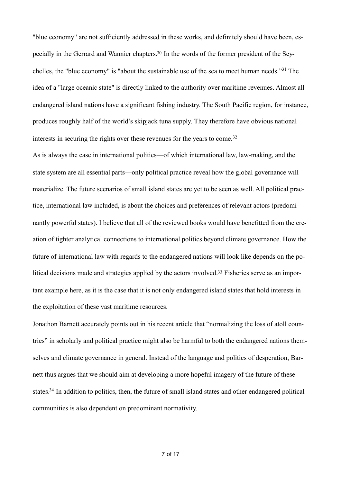<span id="page-6-1"></span><span id="page-6-0"></span>"blue economy" are not sufficiently addressed in these works, and definitely should have been, especially in the Gerrard and Wannier chapters[.30](#page-14-0) In the words of the former president of the Sey-chelles,the "blue economy" is "about the sustainable use of the sea to meet human needs."<sup>[31](#page-14-1)</sup> The idea of a "large oceanic state" is directly linked to the authority over maritime revenues. Almost all endangered island nations have a significant fishing industry. The South Pacific region, for instance, produces roughly half of the world's skipjack tuna supply. They therefore have obvious national interests in securing the rights over these revenues for the years to come. [32](#page-14-2)

<span id="page-6-2"></span>As is always the case in international politics—of which international law, law-making, and the state system are all essential parts—only political practice reveal how the global governance will materialize. The future scenarios of small island states are yet to be seen as well. All political practice, international law included, is about the choices and preferences of relevant actors (predominantly powerful states). I believe that all of the reviewed books would have benefitted from the creation of tighter analytical connections to international politics beyond climate governance. How the future of international law with regards to the endangered nations will look like depends on the po-litical decisions made and strategies applied by the actors involved.<sup>[33](#page-15-0)</sup> Fisheries serve as an important example here, as it is the case that it is not only endangered island states that hold interests in the exploitation of these vast maritime resources.

<span id="page-6-4"></span><span id="page-6-3"></span>Jonathon Barnett accurately points out in his recent article that "normalizing the loss of atoll countries" in scholarly and political practice might also be harmful to both the endangered nations themselves and climate governance in general. Instead of the language and politics of desperation, Barnett thus argues that we should aim at developing a more hopeful imagery of the future of these states[.](#page-15-1)<sup>[34](#page-15-1)</sup> In addition to politics, then, the future of small island states and other endangered political communities is also dependent on predominant normativity.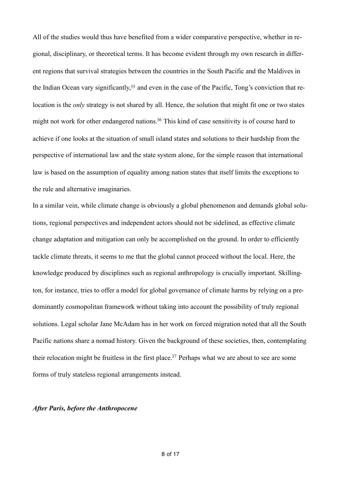<span id="page-7-0"></span>All of the studies would thus have benefited from a wider comparative perspective, whether in regional, disciplinary, or theoretical terms. It has become evident through my own research in different regions that survival strategies between the countries in the South Pacific and the Maldives in the Indian Ocean vary significantly[,](#page-15-2)  $35$  and even in the case of the Pacific, Tong's conviction that relocation is the *only* strategy is not shared by all. Hence, the solution that might fit one or two states might not work for other endangered nations[.](#page-15-3)<sup>[36](#page-15-3)</sup> This kind of case sensitivity is of course hard to achieve if one looks at the situation of small island states and solutions to their hardship from the perspective of international law and the state system alone, for the simple reason that international law is based on the assumption of equality among nation states that itself limits the exceptions to the rule and alternative imaginaries.

<span id="page-7-1"></span>In a similar vein, while climate change is obviously a global phenomenon and demands global solutions, regional perspectives and independent actors should not be sidelined, as effective climate change adaptation and mitigation can only be accomplished on the ground. In order to efficiently tackle climate threats, it seems to me that the global cannot proceed without the local. Here, the knowledge produced by disciplines such as regional anthropology is crucially important. Skillington, for instance, tries to offer a model for global governance of climate harms by relying on a predominantly cosmopolitan framework without taking into account the possibility of truly regional solutions. Legal scholar Jane McAdam has in her work on forced migration noted that all the South Pacific nations share a nomad history. Given the background of these societies, then, contemplating their relocation might be fruitless in the first place[.](#page-15-4)<sup>[37](#page-15-4)</sup> Perhaps what we are about to see are some forms of truly stateless regional arrangements instead.

## <span id="page-7-2"></span>*After Paris, before the Anthropocene*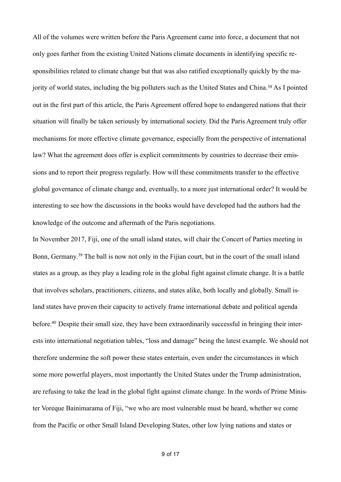<span id="page-8-0"></span>All of the volumes were written before the Paris Agreement came into force, a document that not only goes further from the existing United Nations climate documents in identifying specific responsibilities related to climate change but that was also ratified exceptionally quickly by the ma-jorityof world states, including the big polluters such as the United States and China.<sup>[38](#page-15-5)</sup> As I pointed out in the first part of this article, the Paris Agreement offered hope to endangered nations that their situation will finally be taken seriously by international society. Did the Paris Agreement truly offer mechanisms for more effective climate governance, especially from the perspective of international law? What the agreement does offer is explicit commitments by countries to decrease their emissions and to report their progress regularly. How will these commitments transfer to the effective global governance of climate change and, eventually, to a more just international order? It would be interesting to see how the discussions in the books would have developed had the authors had the knowledge of the outcome and aftermath of the Paris negotiations.

<span id="page-8-2"></span><span id="page-8-1"></span>In November 2017, Fiji, one of the small island states, will chair the Concert of Parties meeting in Bonn,Germany.<sup>[39](#page-16-0)</sup> The ball is now not only in the Fijian court, but in the court of the small island states as a group, as they play a leading role in the global fight against climate change. It is a battle that involves scholars, practitioners, citizens, and states alike, both locally and globally. Small island states have proven their capacity to actively frame international debate and political agenda before[.](#page-16-1)<sup>40</sup> Despite their small size, they have been extraordinarily successful in bringing their interests into international negotiation tables, "loss and damage" being the latest example. We should not therefore undermine the soft power these states entertain, even under the circumstances in which some more powerful players, most importantly the United States under the Trump administration, are refusing to take the lead in the global fight against climate change. In the words of Prime Minister Voreque Bainimarama of Fiji, "we who are most vulnerable must be heard, whether we come from the Pacific or other Small Island Developing States, other low lying nations and states or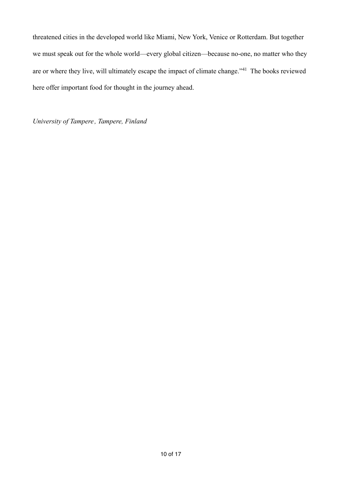threatened cities in the developed world like Miami, New York, Venice or Rotterdam. But together we must speak out for the whole world—every global citizen—because no-one, no matter who they areor where they live, will ultimately escape the impact of climate change."<sup>[41](#page-16-2)</sup> The books reviewed here offer important food for thought in the journey ahead.

<span id="page-9-0"></span>*University of Tampere , Tampere, Finland*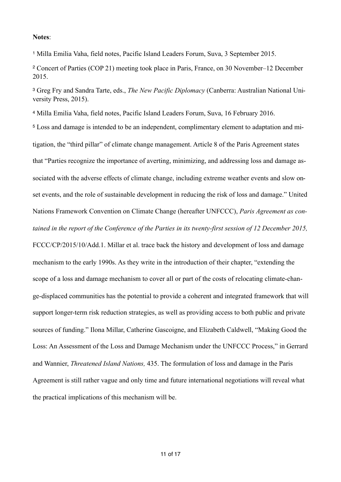## **Notes**:

<span id="page-10-0"></span><sup>[1](#page-1-0)</sup> Milla Emilia Vaha, field notes, Pacific Island Leaders Forum, Suva, 3 September 2015.

<span id="page-10-1"></span><sup>[2](#page-1-1)</sup> Concert of Parties (COP 21) meeting took place in Paris, France, on 30 November–12 December 2015.

<span id="page-10-2"></span><sup>[3](#page-1-2)</sup> Greg Fry and Sandra Tarte, eds., *The New Pacific Diplomacy* (Canberra: Australian National University Press, 2015).

<span id="page-10-3"></span><sup>[4](#page-1-3)</sup> Milla Emilia Vaha, field notes, Pacific Island Leaders Forum, Suva, 16 February 2016.

<span id="page-10-4"></span><sup>[5](#page-1-4)</sup> Loss and damage is intended to be an independent, complimentary element to adaptation and mitigation, the "third pillar" of climate change management. Article 8 of the Paris Agreement states that "Parties recognize the importance of averting, minimizing, and addressing loss and damage associated with the adverse effects of climate change, including extreme weather events and slow onset events, and the role of sustainable development in reducing the risk of loss and damage." United Nations Framework Convention on Climate Change (hereafter UNFCCC), *Paris Agreement as contained in the report of the Conference of the Parties in its twenty-first session of 12 December 2015,* FCCC/CP/2015/10/Add.1. Millar et al. trace back the history and development of loss and damage mechanism to the early 1990s. As they write in the introduction of their chapter, "extending the scope of a loss and damage mechanism to cover all or part of the costs of relocating climate-change-displaced communities has the potential to provide a coherent and integrated framework that will support longer-term risk reduction strategies, as well as providing access to both public and private sources of funding." Ilona Millar, Catherine Gascoigne, and Elizabeth Caldwell, "Making Good the Loss: An Assessment of the Loss and Damage Mechanism under the UNFCCC Process," in Gerrard and Wannier, *Threatened Island Nations,* 435. The formulation of loss and damage in the Paris Agreement is still rather vague and only time and future international negotiations will reveal what the practical implications of this mechanism will be.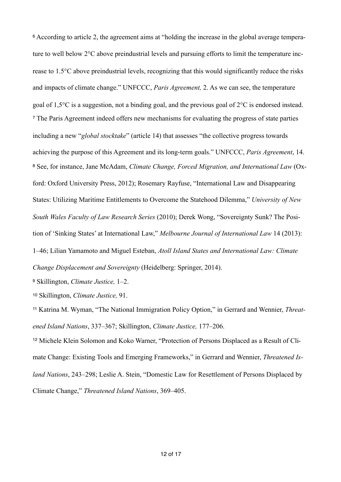<span id="page-11-1"></span><span id="page-11-0"></span><sup>[6](#page-1-5)</sup> According to article 2, the agreement aims at "holding the increase in the global average temperature to well below 2°C above preindustrial levels and pursuing efforts to limit the temperature increase to 1.5°C above preindustrial levels, recognizing that this would significantly reduce the risks and impacts of climate change." UNFCCC, *Paris Agreement,* 2. As we can see, the temperature goal of 1,5°C is a suggestion, not a binding goal, and the previous goal of 2°C is endorsed instead. The Paris Agreement indeed offers new mechanisms for evaluating the progress of state parties [7](#page-1-6) including a new "*global stocktake*" (article 14) that assesses "the collective progress towards achieving the purpose of this Agreement and its long-term goals." UNFCCC, *Paris Agreement*, 14. [8](#page-1-7) See, for instance, Jane McAdam, *Climate Change, Forced Migration, and International Law* (Oxford: Oxford University Press, 2012); Rosemary Rayfuse, "International Law and Disappearing States: Utilizing Maritime Entitlements to Overcome the Statehood Dilemma," *University of New South Wales Faculty of Law Research Series* (2010); Derek Wong, "Sovereignty Sunk? The Position of 'Sinking States' at International Law," *Melbourne Journal of International Law* 14 (2013): 1–46; Lilian Yamamoto and Miguel Esteban, *Atoll Island States and International Law: Climate Change Displacement and Sovereignty* (Heidelberg: Springer, 2014).

<span id="page-11-3"></span><span id="page-11-2"></span>Skillington, *Climate Justice,* 1–2. [9](#page-1-8)

<span id="page-11-4"></span>[10](#page-1-9) Skillington, *Climate Justice,* 91.

<span id="page-11-5"></span><sup>[11](#page-2-0)</sup> Katrina M. Wyman, "The National Immigration Policy Option," in Gerrard and Wennier, *Threatened Island Nations*, 337–367; Skillington, *Climate Justice,* 177–206.

<span id="page-11-6"></span><sup>[12](#page-2-1)</sup> Michele Klein Solomon and Koko Warner, "Protection of Persons Displaced as a Result of Climate Change: Existing Tools and Emerging Frameworks," in Gerrard and Wennier, *Threatened Island Nations*, 243–298; Leslie A. Stein, "Domestic Law for Resettlement of Persons Displaced by Climate Change," *Threatened Island Nations*, 369–405.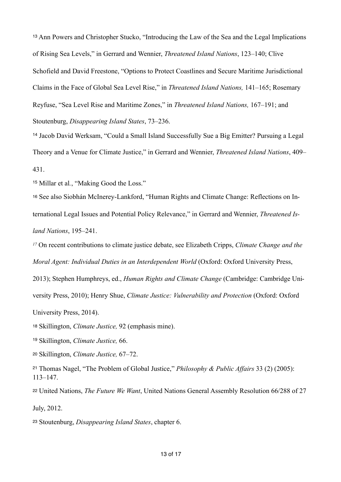<span id="page-12-0"></span><sup>[13](#page-2-2)</sup> Ann Powers and Christopher Stucko, "Introducing the Law of the Sea and the Legal Implications of Rising Sea Levels," in Gerrard and Wennier, *Threatened Island Nations*, 123–140; Clive Schofield and David Freestone, "Options to Protect Coastlines and Secure Maritime Jurisdictional Claims in the Face of Global Sea Level Rise," in *Threatened Island Nations,* 141–165; Rosemary Reyfuse, "Sea Level Rise and Maritime Zones," in *Threatened Island Nations,* 167–191; and Stoutenburg, *Disappearing Island States*, 73–236.

<span id="page-12-1"></span><sup>[14](#page-2-3)</sup> Jacob David Werksam, "Could a Small Island Successfully Sue a Big Emitter? Pursuing a Legal Theory and a Venue for Climate Justice," in Gerrard and Wennier, *Threatened Island Nations*, 409– 431.

<span id="page-12-2"></span><sup>[15](#page-2-4)</sup> Millar et al., "Making Good the Loss."

<span id="page-12-3"></span>[16](#page-2-5) See also Siobhán McInerey-Lankford, "Human Rights and Climate Change: Reflections on International Legal Issues and Potential Policy Relevance," in Gerrard and Wennier, *Threatened Island Nations*, 195–241.

<span id="page-12-4"></span> On recent contributions to climate justice debate, see Elizabeth Cripps, *Climate Change and the [17](#page-2-6) Moral Agent: Individual Duties in an Interdependent World (Oxford: Oxford University Press,* 

2013); Stephen Humphreys, ed., *Human Rights and Climate Change* (Cambridge: Cambridge Uni-

versity Press, 2010); Henry Shue, *Climate Justice: Vulnerability and Protection* (Oxford: Oxford

University Press, 2014).

<span id="page-12-5"></span>[18](#page-3-0) Skillington, *Climate Justice,* 92 (emphasis mine).

<span id="page-12-6"></span><sup>[19](#page-3-1)</sup> Skillington, *Climate Justice*, 66.

<span id="page-12-7"></span>[20](#page-3-2) Skillington, *Climate Justice,* 67–72.

<span id="page-12-8"></span><sup>[21](#page-3-3)</sup> Thomas Nagel, "The Problem of Global Justice," *Philosophy & Public Affairs* 33 (2) (2005): 113–147.

<span id="page-12-9"></span>[22](#page-3-4) United Nations, *The Future We Want*, United Nations General Assembly Resolution 66/288 of 27

July, 2012.

<span id="page-12-10"></span>[23](#page-4-0) Stoutenburg, *Disappearing Island States*, chapter 6.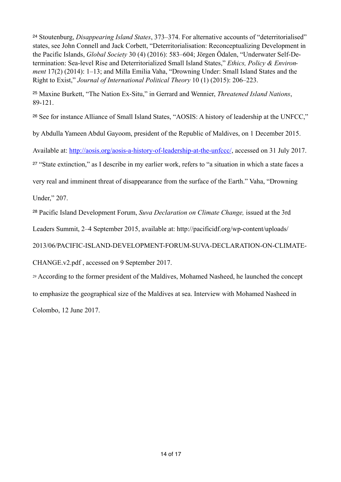<span id="page-13-0"></span> Stoutenburg, *Disappearing Island States*, 373–374. For alternative accounts of "deterritorialised" [24](#page-4-1) states, see John Connell and Jack Corbett, "Deterritorialisation: Reconceptualizing Development in the Pacific Islands, *Global Society* 30 (4) (2016): 583–604; Jörgen Ödalen, "Underwater Self-Determination: Sea-level Rise and Deterritorialized Small Island States," *Ethics, Policy & Environment* 17(2) (2014): 1–13; and Milla Emilia Vaha, "Drowning Under: Small Island States and the Right to Exist," *Journal of International Political Theory* 10 (1) (2015): 206–223.

<span id="page-13-1"></span> Maxine Burkett, "The Nation Ex-Situ," in Gerrard and Wennier, *Threatened Island Nations*, [25](#page-4-2) 89-121.

<span id="page-13-2"></span><sup>[26](#page-4-3)</sup> See for instance Alliance of Small Island States, "AOSIS: A history of leadership at the UNFCC,"

by Abdulla Yameen Abdul Gayoom, president of the Republic of Maldives, on 1 December 2015.

Available at:<http://aosis.org/aosis-a-history-of-leadership-at-the-unfccc/>, accessed on 31 July 2017.

<span id="page-13-3"></span><sup>[27](#page-4-4)</sup> "State extinction," as I describe in my earlier work, refers to "a situation in which a state faces a

very real and imminent threat of disappearance from the surface of the Earth." Vaha, "Drowning

Under," 207.

<span id="page-13-4"></span>Pacific Island Development Forum, *Suva Declaration on Climate Change,* issued at the 3rd [28](#page-5-0)

Leaders Summit, 2–4 September 2015, available at: http://pacificidf.org/wp-content/uploads/

2013/06/PACIFIC-ISLAND-DEVELOPMENT-FORUM-SUVA-DECLARATION-ON-CLIMATE-

CHANGE.v2.pdf , accessed on 9 September 2017.

<span id="page-13-5"></span> According to the former president of the Maldives, Mohamed Nasheed, he launched the concept [29](#page-5-1) to emphasize the geographical size of the Maldives at sea. Interview with Mohamed Nasheed in Colombo, 12 June 2017.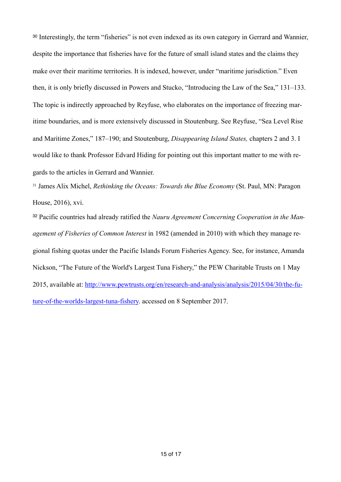<span id="page-14-0"></span><sup>[30](#page-6-0)</sup> Interestingly, the term "fisheries" is not even indexed as its own category in Gerrard and Wannier, despite the importance that fisheries have for the future of small island states and the claims they make over their maritime territories. It is indexed, however, under "maritime jurisdiction." Even then, it is only briefly discussed in Powers and Stucko, "Introducing the Law of the Sea," 131–133. The topic is indirectly approached by Reyfuse, who elaborates on the importance of freezing maritime boundaries, and is more extensively discussed in Stoutenburg. See Reyfuse, "Sea Level Rise and Maritime Zones," 187–190; and Stoutenburg, *Disappearing Island States,* chapters 2 and 3. I would like to thank Professor Edvard Hiding for pointing out this important matter to me with regards to the articles in Gerrard and Wannier.

<span id="page-14-1"></span><sup>[31](#page-6-1)</sup> James Alix Michel, *Rethinking the Oceans: Towards the Blue Economy* (St. Paul, MN: Paragon House, 2016), xvi.

<span id="page-14-2"></span>[32](#page-6-2) Pacific countries had already ratified the *Nauru Agreement Concerning Cooperation in the Management of Fisheries of Common Interest* in 1982 (amended in 2010) with which they manage regional fishing quotas under the Pacific Islands Forum Fisheries Agency. See, for instance, Amanda Nickson, "The Future of the World's Largest Tuna Fishery," the PEW Charitable Trusts on 1 May [2015, available at: http://www.pewtrusts.org/en/research-and-analysis/analysis/2015/04/30/the-fu](http://www.pewtrusts.org/en/research-and-analysis/analysis/2015/04/30/the-future-of-the-worlds-largest-tuna-fishery)ture-of-the-worlds-largest-tuna-fishery. accessed on 8 September 2017.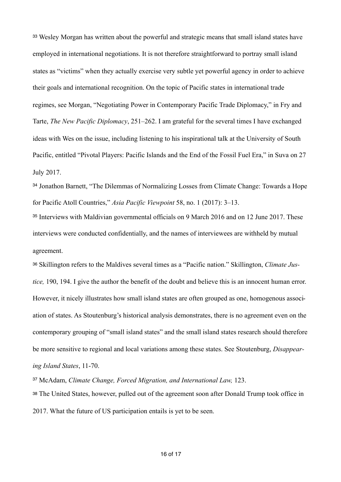<span id="page-15-0"></span> Wesley Morgan has written about the powerful and strategic means that small island states have [33](#page-6-3) employed in international negotiations. It is not therefore straightforward to portray small island states as "victims" when they actually exercise very subtle yet powerful agency in order to achieve their goals and international recognition. On the topic of Pacific states in international trade regimes, see Morgan, "Negotiating Power in Contemporary Pacific Trade Diplomacy," in Fry and Tarte, *The New Pacific Diplomacy*, 251–262. I am grateful for the several times I have exchanged ideas with Wes on the issue, including listening to his inspirational talk at the University of South Pacific, entitled "Pivotal Players: Pacific Islands and the End of the Fossil Fuel Era," in Suva on 27 July 2017.

<span id="page-15-1"></span><sup>[34](#page-6-4)</sup> Jonathon Barnett, "The Dilemmas of Normalizing Losses from Climate Change: Towards a Hope for Pacific Atoll Countries," *Asia Pacific Viewpoint* 58, no. 1 (2017): 3–13.

<span id="page-15-2"></span><sup>[35](#page-7-0)</sup> Interviews with Maldivian governmental officials on 9 March 2016 and on 12 June 2017. These interviews were conducted confidentially, and the names of interviewees are withheld by mutual agreement.

<span id="page-15-3"></span>[36](#page-7-1) Skillington refers to the Maldives several times as a "Pacific nation." Skillington, *Climate Justice,* 190, 194. I give the author the benefit of the doubt and believe this is an innocent human error. However, it nicely illustrates how small island states are often grouped as one, homogenous association of states. As Stoutenburg's historical analysis demonstrates, there is no agreement even on the contemporary grouping of "small island states" and the small island states research should therefore be more sensitive to regional and local variations among these states. See Stoutenburg, *Disappearing Island States*, 11-70.

<span id="page-15-5"></span><span id="page-15-4"></span><sup>[37](#page-7-2)</sup> McAdam, *Climate Change, Forced Migration, and International Law, 123.* [38](#page-8-0) The United States, however, pulled out of the agreement soon after Donald Trump took office in 2017. What the future of US participation entails is yet to be seen.